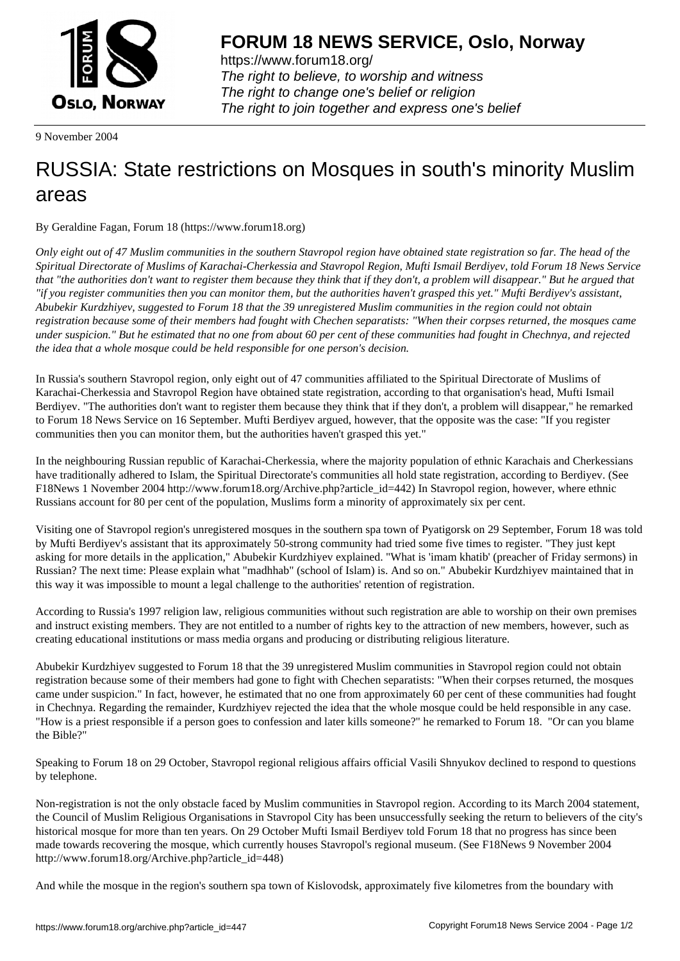

https://www.forum18.org/ The right to believe, to worship and witness The right to change one's belief or religion [The right to join together a](https://www.forum18.org/)nd express one's belief

9 November 2004

## [RUSSIA: State](https://www.forum18.org) restrictions on Mosques in south's minority Muslim areas

By Geraldine Fagan, Forum 18 (https://www.forum18.org)

*Only eight out of 47 Muslim communities in the southern Stavropol region have obtained state registration so far. The head of the Spiritual Directorate of Muslims of Karachai-Cherkessia and Stavropol Region, Mufti Ismail Berdiyev, told Forum 18 News Service that "the authorities don't want to register them because they think that if they don't, a problem will disappear." But he argued that "if you register communities then you can monitor them, but the authorities haven't grasped this yet." Mufti Berdiyev's assistant, Abubekir Kurdzhiyev, suggested to Forum 18 that the 39 unregistered Muslim communities in the region could not obtain registration because some of their members had fought with Chechen separatists: "When their corpses returned, the mosques came under suspicion." But he estimated that no one from about 60 per cent of these communities had fought in Chechnya, and rejected the idea that a whole mosque could be held responsible for one person's decision.*

In Russia's southern Stavropol region, only eight out of 47 communities affiliated to the Spiritual Directorate of Muslims of Karachai-Cherkessia and Stavropol Region have obtained state registration, according to that organisation's head, Mufti Ismail Berdiyev. "The authorities don't want to register them because they think that if they don't, a problem will disappear," he remarked to Forum 18 News Service on 16 September. Mufti Berdiyev argued, however, that the opposite was the case: "If you register communities then you can monitor them, but the authorities haven't grasped this yet."

In the neighbouring Russian republic of Karachai-Cherkessia, where the majority population of ethnic Karachais and Cherkessians have traditionally adhered to Islam, the Spiritual Directorate's communities all hold state registration, according to Berdiyev. (See F18News 1 November 2004 http://www.forum18.org/Archive.php?article\_id=442) In Stavropol region, however, where ethnic Russians account for 80 per cent of the population, Muslims form a minority of approximately six per cent.

Visiting one of Stavropol region's unregistered mosques in the southern spa town of Pyatigorsk on 29 September, Forum 18 was told by Mufti Berdiyev's assistant that its approximately 50-strong community had tried some five times to register. "They just kept asking for more details in the application," Abubekir Kurdzhiyev explained. "What is 'imam khatib' (preacher of Friday sermons) in Russian? The next time: Please explain what "madhhab" (school of Islam) is. And so on." Abubekir Kurdzhiyev maintained that in this way it was impossible to mount a legal challenge to the authorities' retention of registration.

According to Russia's 1997 religion law, religious communities without such registration are able to worship on their own premises and instruct existing members. They are not entitled to a number of rights key to the attraction of new members, however, such as creating educational institutions or mass media organs and producing or distributing religious literature.

Abubekir Kurdzhiyev suggested to Forum 18 that the 39 unregistered Muslim communities in Stavropol region could not obtain registration because some of their members had gone to fight with Chechen separatists: "When their corpses returned, the mosques came under suspicion." In fact, however, he estimated that no one from approximately 60 per cent of these communities had fought in Chechnya. Regarding the remainder, Kurdzhiyev rejected the idea that the whole mosque could be held responsible in any case. "How is a priest responsible if a person goes to confession and later kills someone?" he remarked to Forum 18. "Or can you blame the Bible?"

Speaking to Forum 18 on 29 October, Stavropol regional religious affairs official Vasili Shnyukov declined to respond to questions by telephone.

Non-registration is not the only obstacle faced by Muslim communities in Stavropol region. According to its March 2004 statement, the Council of Muslim Religious Organisations in Stavropol City has been unsuccessfully seeking the return to believers of the city's historical mosque for more than ten years. On 29 October Mufti Ismail Berdiyev told Forum 18 that no progress has since been made towards recovering the mosque, which currently houses Stavropol's regional museum. (See F18News 9 November 2004 http://www.forum18.org/Archive.php?article\_id=448)

And while the mosque in the region's southern spa town of Kislovodsk, approximately five kilometres from the boundary with